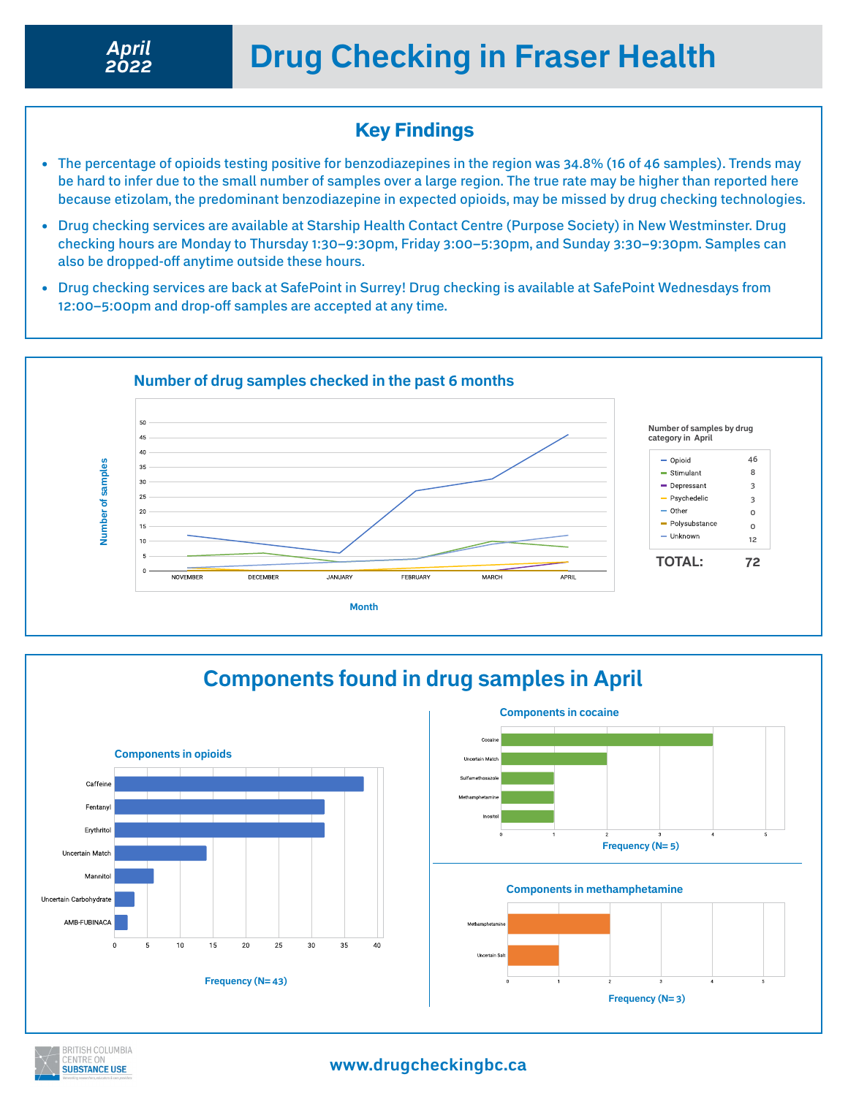### Key Findings

- The percentage of opioids testing positive for benzodiazepines in the region was 34.8% (16 of 46 samples). Trends may be hard to infer due to the small number of samples over a large region. The true rate may be higher than reported here because etizolam, the predominant benzodiazepine in expected opioids, may be missed by drug checking technologies.
- Drug checking services are available at Starship Health Contact Centre (Purpose Society) in New Westminster. Drug checking hours are Monday to Thursday 1:30–9:30pm, Friday 3:00–5:30pm, and Sunday 3:30–9:30pm. Samples can also be dropped-off anytime outside these hours.
- Drug checking services are back at SafePoint in Surrey! Drug checking is available at SafePoint Wednesdays from 12:00–5:00pm and drop-off samples are accepted at any time.



# **Components found in drug samples in April**





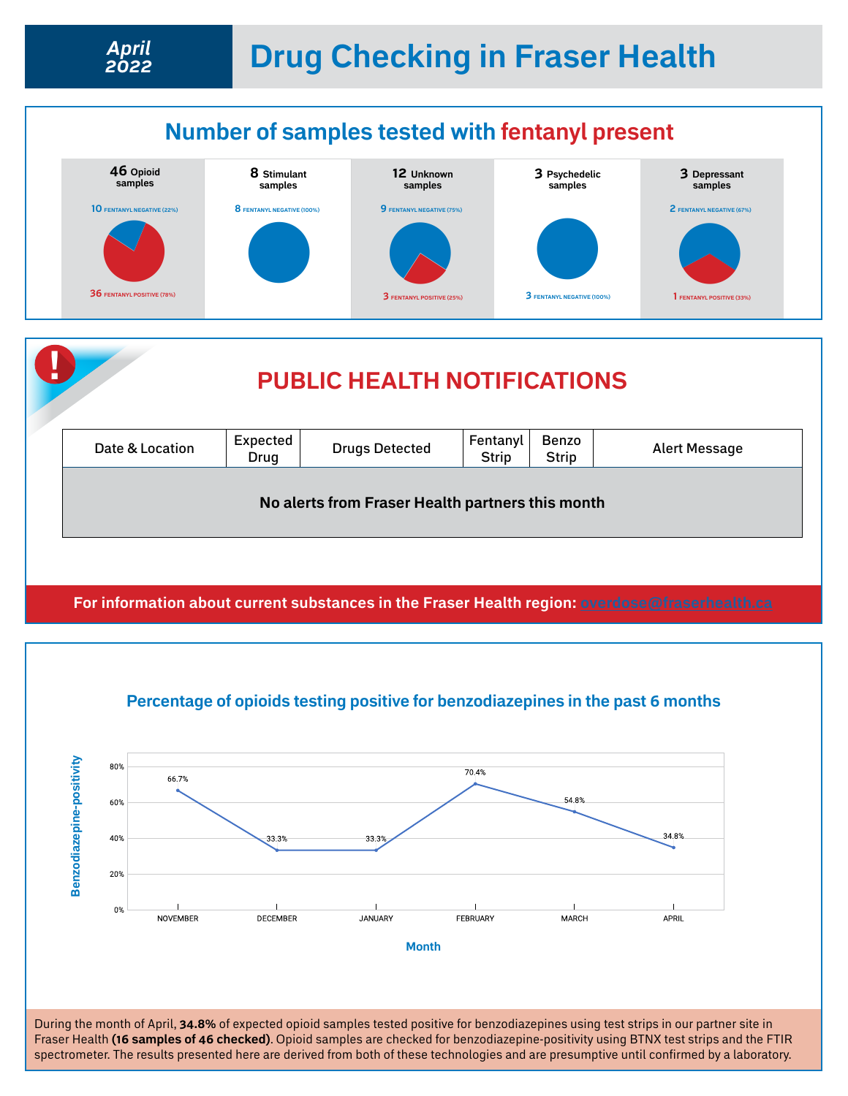# **Drug Checking in Fraser Health** *April*



*2022*

**Strip No alerts from Fraser Health partners this month**

**For information about current substances in the Fraser Health region: [overdose@fraserhealth.ca](http://overdose@fraserhealth.ca)**



During the month of April, **34.8%** of expected opioid samples tested positive for benzodiazepines using test strips in our partner site in Fraser Health **(16 samples of 46 checked)**. Opioid samples are checked for benzodiazepine-positivity using BTNX test strips and the FTIR spectrometer. The results presented here are derived from both of these technologies and are presumptive until confirmed by a laboratory.